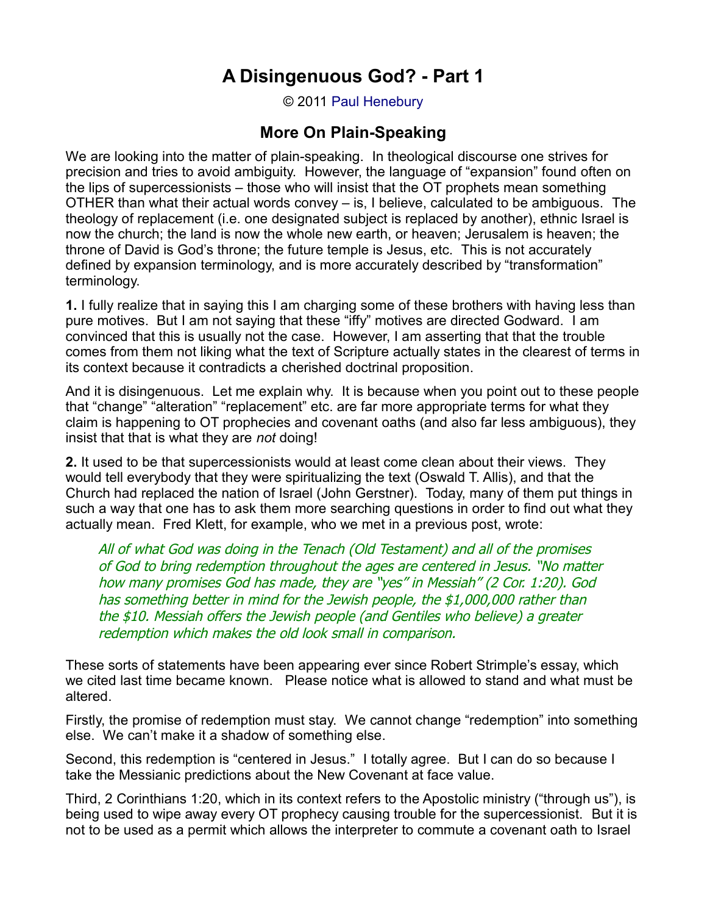## **A Disingenuous God? - Part 1**

© 2011 [Paul Henebury](http://www.spiritandtruth.org/id/ph.htm)

## **More On Plain-Speaking**

We are looking into the matter of plain-speaking. In theological discourse one strives for precision and tries to avoid ambiguity. However, the language of "expansion" found often on the lips of supercessionists – those who will insist that the OT prophets mean something OTHER than what their actual words convey – is, I believe, calculated to be ambiguous. The theology of replacement (i.e. one designated subject is replaced by another), ethnic Israel is now the church; the land is now the whole new earth, or heaven; Jerusalem is heaven; the throne of David is God's throne; the future temple is Jesus, etc. This is not accurately defined by expansion terminology, and is more accurately described by "transformation" terminology.

**1.** I fully realize that in saying this I am charging some of these brothers with having less than pure motives. But I am not saying that these "iffy" motives are directed Godward. I am convinced that this is usually not the case. However, I am asserting that that the trouble comes from them not liking what the text of Scripture actually states in the clearest of terms in its context because it contradicts a cherished doctrinal proposition.

And it is disingenuous. Let me explain why. It is because when you point out to these people that "change" "alteration" "replacement" etc. are far more appropriate terms for what they claim is happening to OT prophecies and covenant oaths (and also far less ambiguous), they insist that that is what they are *not* doing!

**2.** It used to be that supercessionists would at least come clean about their views. They would tell everybody that they were spiritualizing the text (Oswald T. Allis), and that the Church had replaced the nation of Israel (John Gerstner). Today, many of them put things in such a way that one has to ask them more searching questions in order to find out what they actually mean. Fred Klett, for example, who we met in a previous post, wrote:

All of what God was doing in the Tenach (Old Testament) and all of the promises of God to bring redemption throughout the ages are centered in Jesus. "No matter how many promises God has made, they are "yes" in Messiah" (2 Cor. 1:20). God has something better in mind for the Jewish people, the \$1,000,000 rather than the \$10. Messiah offers the Jewish people (and Gentiles who believe) a greater redemption which makes the old look small in comparison.

These sorts of statements have been appearing ever since Robert Strimple's essay, which we cited last time became known. Please notice what is allowed to stand and what must be altered.

Firstly, the promise of redemption must stay. We cannot change "redemption" into something else. We can't make it a shadow of something else.

Second, this redemption is "centered in Jesus." I totally agree. But I can do so because I take the Messianic predictions about the New Covenant at face value.

Third, 2 Corinthians 1:20, which in its context refers to the Apostolic ministry ("through us"), is being used to wipe away every OT prophecy causing trouble for the supercessionist. But it is not to be used as a permit which allows the interpreter to commute a covenant oath to Israel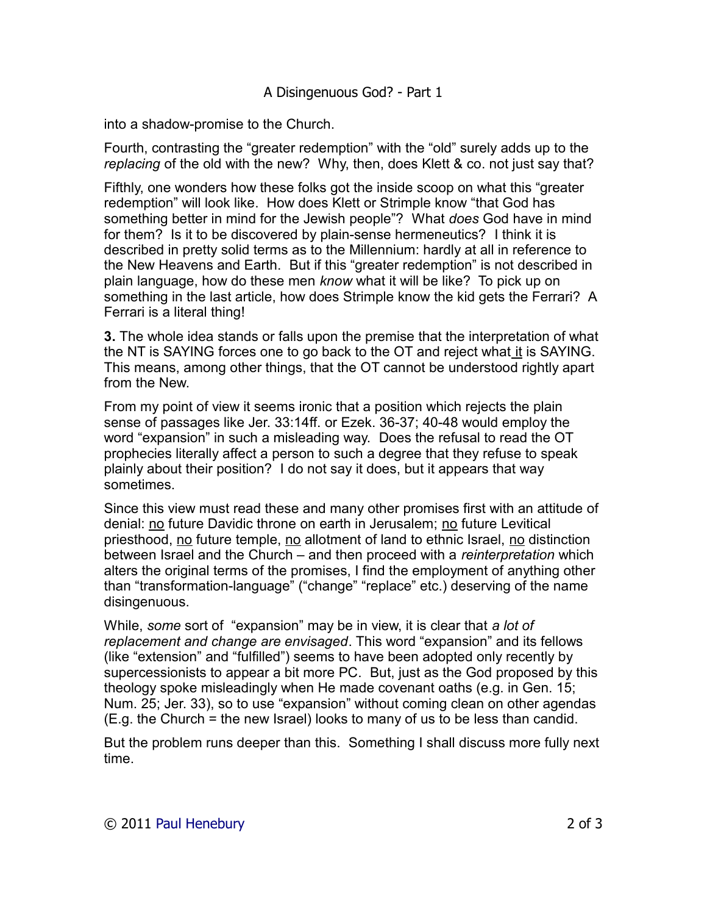## A Disingenuous God? - Part 1

into a shadow-promise to the Church.

Fourth, contrasting the "greater redemption" with the "old" surely adds up to the *replacing* of the old with the new? Why, then, does Klett & co. not just say that?

Fifthly, one wonders how these folks got the inside scoop on what this "greater redemption" will look like. How does Klett or Strimple know "that God has something better in mind for the Jewish people"? What *does* God have in mind for them? Is it to be discovered by plain-sense hermeneutics? I think it is described in pretty solid terms as to the Millennium: hardly at all in reference to the New Heavens and Earth. But if this "greater redemption" is not described in plain language, how do these men *know* what it will be like? To pick up on something in the last article, how does Strimple know the kid gets the Ferrari? A Ferrari is a literal thing!

**3.** The whole idea stands or falls upon the premise that the interpretation of what the NT is SAYING forces one to go back to the OT and reject what it is SAYING. This means, among other things, that the OT cannot be understood rightly apart from the New.

From my point of view it seems ironic that a position which rejects the plain sense of passages like Jer. 33:14ff. or Ezek. 36-37; 40-48 would employ the word "expansion" in such a misleading way. Does the refusal to read the OT prophecies literally affect a person to such a degree that they refuse to speak plainly about their position? I do not say it does, but it appears that way sometimes.

Since this view must read these and many other promises first with an attitude of denial: no future Davidic throne on earth in Jerusalem; no future Levitical priesthood, no future temple, no allotment of land to ethnic Israel, no distinction between Israel and the Church – and then proceed with a *reinterpretation* which alters the original terms of the promises, I find the employment of anything other than "transformation-language" ("change" "replace" etc.) deserving of the name disingenuous.

While, *some* sort of "expansion" may be in view, it is clear that *a lot of replacement and change are envisaged*. This word "expansion" and its fellows (like "extension" and "fulfilled") seems to have been adopted only recently by supercessionists to appear a bit more PC. But, just as the God proposed by this theology spoke misleadingly when He made covenant oaths (e.g. in Gen. 15; Num. 25; Jer. 33), so to use "expansion" without coming clean on other agendas (E.g. the Church = the new Israel) looks to many of us to be less than candid.

But the problem runs deeper than this. Something I shall discuss more fully next time.